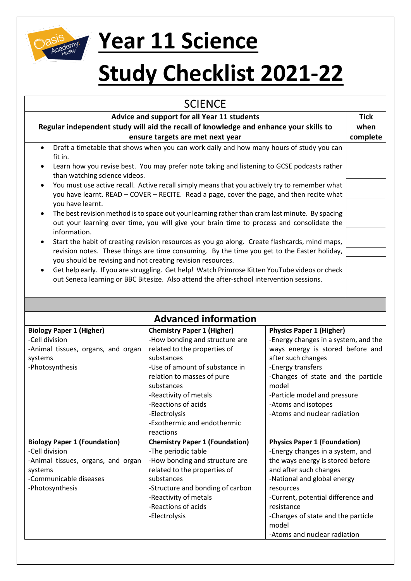

## **Year 11 Science**

## **Study Checklist 2021-22**

| <b>SCIENCE</b>                                                                                                                                                                                                            |                                                                                                |                                                                         |          |  |  |  |
|---------------------------------------------------------------------------------------------------------------------------------------------------------------------------------------------------------------------------|------------------------------------------------------------------------------------------------|-------------------------------------------------------------------------|----------|--|--|--|
| Advice and support for all Year 11 students<br>Regular independent study will aid the recall of knowledge and enhance your skills to                                                                                      |                                                                                                |                                                                         |          |  |  |  |
| ensure targets are met next year<br>Draft a timetable that shows when you can work daily and how many hours of study you can                                                                                              |                                                                                                |                                                                         | complete |  |  |  |
| $\bullet$<br>fit in.                                                                                                                                                                                                      |                                                                                                |                                                                         |          |  |  |  |
| Learn how you revise best. You may prefer note taking and listening to GCSE podcasts rather<br>$\bullet$<br>than watching science videos.                                                                                 |                                                                                                |                                                                         |          |  |  |  |
| You must use active recall. Active recall simply means that you actively try to remember what<br>you have learnt. READ - COVER - RECITE. Read a page, cover the page, and then recite what<br>you have learnt.            |                                                                                                |                                                                         |          |  |  |  |
| The best revision method is to space out your learning rather than cram last minute. By spacing<br>$\bullet$<br>out your learning over time, you will give your brain time to process and consolidate the                 |                                                                                                |                                                                         |          |  |  |  |
| information.<br>Start the habit of creating revision resources as you go along. Create flashcards, mind maps,<br>$\bullet$<br>revision notes. These things are time consuming. By the time you get to the Easter holiday, |                                                                                                |                                                                         |          |  |  |  |
| you should be revising and not creating revision resources.                                                                                                                                                               |                                                                                                |                                                                         |          |  |  |  |
| $\bullet$                                                                                                                                                                                                                 | Get help early. If you are struggling. Get help! Watch Primrose Kitten YouTube videos or check |                                                                         |          |  |  |  |
| out Seneca learning or BBC Bitesize. Also attend the after-school intervention sessions.                                                                                                                                  |                                                                                                |                                                                         |          |  |  |  |
|                                                                                                                                                                                                                           |                                                                                                |                                                                         |          |  |  |  |
|                                                                                                                                                                                                                           |                                                                                                |                                                                         |          |  |  |  |
|                                                                                                                                                                                                                           | <b>Advanced information</b>                                                                    |                                                                         |          |  |  |  |
| <b>Biology Paper 1 (Higher)</b>                                                                                                                                                                                           | <b>Chemistry Paper 1 (Higher)</b>                                                              | <b>Physics Paper 1 (Higher)</b>                                         |          |  |  |  |
| -Cell division                                                                                                                                                                                                            | -How bonding and structure are                                                                 | -Energy changes in a system, and the                                    |          |  |  |  |
| -Animal tissues, organs, and organ                                                                                                                                                                                        | related to the properties of                                                                   | ways energy is stored before and                                        |          |  |  |  |
| systems                                                                                                                                                                                                                   | substances                                                                                     | after such changes                                                      |          |  |  |  |
| -Photosynthesis                                                                                                                                                                                                           | -Use of amount of substance in                                                                 | -Energy transfers                                                       |          |  |  |  |
|                                                                                                                                                                                                                           | relation to masses of pure                                                                     | -Changes of state and the particle                                      |          |  |  |  |
|                                                                                                                                                                                                                           | substances                                                                                     | model                                                                   |          |  |  |  |
|                                                                                                                                                                                                                           | -Reactivity of metals                                                                          | -Particle model and pressure                                            |          |  |  |  |
|                                                                                                                                                                                                                           | -Reactions of acids                                                                            | -Atoms and isotopes                                                     |          |  |  |  |
|                                                                                                                                                                                                                           | -Electrolysis                                                                                  | -Atoms and nuclear radiation                                            |          |  |  |  |
|                                                                                                                                                                                                                           | -Exothermic and endothermic                                                                    |                                                                         |          |  |  |  |
|                                                                                                                                                                                                                           | reactions                                                                                      |                                                                         |          |  |  |  |
| <b>Biology Paper 1 (Foundation)</b><br>-Cell division                                                                                                                                                                     | <b>Chemistry Paper 1 (Foundation)</b><br>-The periodic table                                   | <b>Physics Paper 1 (Foundation)</b><br>-Energy changes in a system, and |          |  |  |  |
| -Animal tissues, organs, and organ                                                                                                                                                                                        | -How bonding and structure are                                                                 | the ways energy is stored before                                        |          |  |  |  |
| systems                                                                                                                                                                                                                   | related to the properties of                                                                   | and after such changes                                                  |          |  |  |  |
| -Communicable diseases                                                                                                                                                                                                    | substances                                                                                     | -National and global energy                                             |          |  |  |  |
| -Photosynthesis                                                                                                                                                                                                           | -Structure and bonding of carbon                                                               | resources                                                               |          |  |  |  |
|                                                                                                                                                                                                                           | -Reactivity of metals                                                                          | -Current, potential difference and                                      |          |  |  |  |
|                                                                                                                                                                                                                           | -Reactions of acids                                                                            | resistance                                                              |          |  |  |  |
|                                                                                                                                                                                                                           | -Electrolysis                                                                                  | -Changes of state and the particle<br>model                             |          |  |  |  |
|                                                                                                                                                                                                                           |                                                                                                | -Atoms and nuclear radiation                                            |          |  |  |  |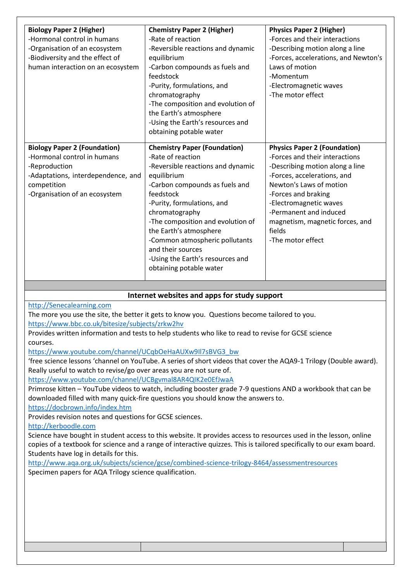| <b>Biology Paper 2 (Higher)</b>     | <b>Chemistry Paper 2 (Higher)</b>   | <b>Physics Paper 2 (Higher)</b>      |
|-------------------------------------|-------------------------------------|--------------------------------------|
| -Hormonal control in humans         | -Rate of reaction                   | -Forces and their interactions       |
| -Organisation of an ecosystem       | -Reversible reactions and dynamic   | -Describing motion along a line      |
| -Biodiversity and the effect of     | equilibrium                         | -Forces, accelerations, and Newton's |
| human interaction on an ecosystem   | -Carbon compounds as fuels and      | Laws of motion                       |
|                                     | feedstock                           | -Momentum                            |
|                                     | -Purity, formulations, and          | -Electromagnetic waves               |
|                                     | chromatography                      | -The motor effect                    |
|                                     | -The composition and evolution of   |                                      |
|                                     | the Earth's atmosphere              |                                      |
|                                     | -Using the Earth's resources and    |                                      |
|                                     | obtaining potable water             |                                      |
|                                     |                                     |                                      |
| <b>Biology Paper 2 (Foundation)</b> | <b>Chemistry Paper (Foundation)</b> | <b>Physics Paper 2 (Foundation)</b>  |
| -Hormonal control in humans         | -Rate of reaction                   | -Forces and their interactions       |
| -Reproduction                       | -Reversible reactions and dynamic   | -Describing motion along a line      |
| -Adaptations, interdependence, and  | equilibrium                         | -Forces, accelerations, and          |
| competition                         | -Carbon compounds as fuels and      | Newton's Laws of motion              |
| -Organisation of an ecosystem       | feedstock                           | -Forces and braking                  |
|                                     | -Purity, formulations, and          | -Electromagnetic waves               |
|                                     | chromatography                      | -Permanent and induced               |
|                                     | -The composition and evolution of   | magnetism, magnetic forces, and      |
|                                     | the Earth's atmosphere              | fields                               |
|                                     | -Common atmospheric pollutants      | -The motor effect                    |
|                                     | and their sources                   |                                      |
|                                     | -Using the Earth's resources and    |                                      |
|                                     | obtaining potable water             |                                      |
|                                     |                                     |                                      |

## **Internet websites and apps for study support**

[http://Senecalearning.com](http://senecalearning.com/)

The more you use the site, the better it gets to know you. Questions become tailored to you. <https://www.bbc.co.uk/bitesize/subjects/zrkw2hv>

Provides written information and tests to help students who like to read to revise for GCSE science courses.

[https://www.youtube.com/channel/UCqbOeHaAUXw9Il7sBVG3\\_bw](https://www.youtube.com/channel/UCqbOeHaAUXw9Il7sBVG3_bw)

'free science lessons 'channel on YouTube. A series of short videos that cover the AQA9-1 Trilogy (Double award). Really useful to watch to revise/go over areas you are not sure of.

<https://www.youtube.com/channel/UCBgvmal8AR4QIK2e0EfJwaA>

Primrose kitten – YouTube videos to watch, including booster grade 7-9 questions AND a workbook that can be downloaded filled with many quick-fire questions you should know the answers to.

<https://docbrown.info/index.htm>

Provides revision notes and questions for GCSE sciences.

[http://kerboodle.com](http://kerboodle.com/)

Science have bought in student access to this website. It provides access to resources used in the lesson, online copies of a textbook for science and a range of interactive quizzes. This is tailored specifically to our exam board. Students have log in details for this.

<http://www.aqa.org.uk/subjects/science/gcse/combined-science-trilogy-8464/assessmentresources> Specimen papers for AQA Trilogy science qualification.